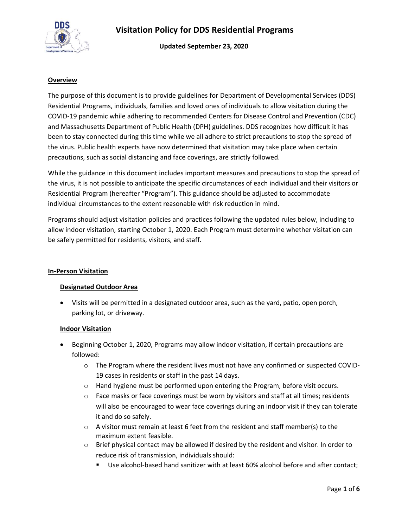

**Updated September 23, 2020**

#### **Overview**

The purpose of this document is to provide guidelines for Department of Developmental Services (DDS) Residential Programs, individuals, families and loved ones of individuals to allow visitation during the COVID-19 pandemic while adhering to recommended Centers for Disease Control and Prevention (CDC) and Massachusetts Department of Public Health (DPH) guidelines. DDS recognizes how difficult it has been to stay connected during this time while we all adhere to strict precautions to stop the spread of the virus. Public health experts have now determined that visitation may take place when certain precautions, such as social distancing and face coverings, are strictly followed.

While the guidance in this document includes important measures and precautions to stop the spread of the virus, it is not possible to anticipate the specific circumstances of each individual and their visitors or Residential Program (hereafter "Program"). This guidance should be adjusted to accommodate individual circumstances to the extent reasonable with risk reduction in mind.

Programs should adjust visitation policies and practices following the updated rules below, including to allow indoor visitation, starting October 1, 2020. Each Program must determine whether visitation can be safely permitted for residents, visitors, and staff.

#### **In-Person Visitation**

#### **Designated Outdoor Area**

• Visits will be permitted in a designated outdoor area, such as the yard, patio, open porch, parking lot, or driveway.

#### **Indoor Visitation**

- Beginning October 1, 2020, Programs may allow indoor visitation, if certain precautions are followed:
	- $\circ$  The Program where the resident lives must not have any confirmed or suspected COVID-19 cases in residents or staff in the past 14 days.
	- $\circ$  Hand hygiene must be performed upon entering the Program, before visit occurs.
	- $\circ$  Face masks or face coverings must be worn by visitors and staff at all times; residents will also be encouraged to wear face coverings during an indoor visit if they can tolerate it and do so safely.
	- $\circ$  A visitor must remain at least 6 feet from the resident and staff member(s) to the maximum extent feasible.
	- $\circ$  Brief physical contact may be allowed if desired by the resident and visitor. In order to reduce risk of transmission, individuals should:
		- Use alcohol-based hand sanitizer with at least 60% alcohol before and after contact;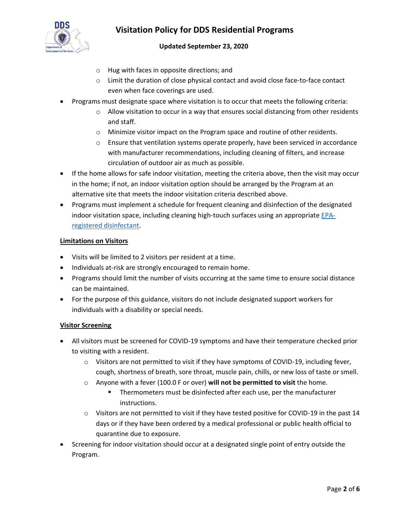

## **Updated September 23, 2020**

- o Hug with faces in opposite directions; and
- o Limit the duration of close physical contact and avoid close face-to-face contact even when face coverings are used.
- Programs must designate space where visitation is to occur that meets the following criteria:
	- $\circ$  Allow visitation to occur in a way that ensures social distancing from other residents and staff.
	- o Minimize visitor impact on the Program space and routine of other residents.
	- $\circ$  Ensure that ventilation systems operate properly, have been serviced in accordance with manufacturer recommendations, including cleaning of filters, and increase circulation of outdoor air as much as possible.
- If the home allows for safe indoor visitation, meeting the criteria above, then the visit may occur in the home; if not, an indoor visitation option should be arranged by the Program at an alternative site that meets the indoor visitation criteria described above.
- Programs must implement a schedule for frequent cleaning and disinfection of the designated indoor visitation space, including cleaning high-touch surfaces using an appropriate [EPA](https://www.epa.gov/pesticide-registration/list-n-disinfectants-use-against-sars-cov-2)[registered disinfectant.](https://www.epa.gov/pesticide-registration/list-n-disinfectants-use-against-sars-cov-2)

#### **Limitations on Visitors**

- Visits will be limited to 2 visitors per resident at a time.
- Individuals at-risk are strongly encouraged to remain home.
- Programs should limit the number of visits occurring at the same time to ensure social distance can be maintained.
- For the purpose of this guidance, visitors do not include designated support workers for individuals with a disability or special needs.

#### **Visitor Screening**

- All visitors must be screened for COVID-19 symptoms and have their temperature checked prior to visiting with a resident.
	- o Visitors are not permitted to visit if they have symptoms of COVID-19, including fever, cough, shortness of breath, sore throat, muscle pain, chills, or new loss of taste or smell.
	- o Anyone with a fever (100.0 F or over) **will not be permitted to visit** the home.
		- Thermometers must be disinfected after each use, per the manufacturer instructions.
	- o Visitors are not permitted to visit if they have tested positive for COVID-19 in the past 14 days or if they have been ordered by a medical professional or public health official to quarantine due to exposure.
- Screening for indoor visitation should occur at a designated single point of entry outside the Program.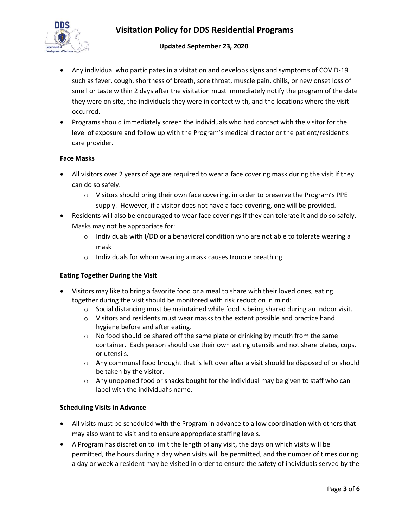

### **Updated September 23, 2020**

- Any individual who participates in a visitation and develops signs and symptoms of COVID-19 such as fever, cough, shortness of breath, sore throat, muscle pain, chills, or new onset loss of smell or taste within 2 days after the visitation must immediately notify the program of the date they were on site, the individuals they were in contact with, and the locations where the visit occurred.
- Programs should immediately screen the individuals who had contact with the visitor for the level of exposure and follow up with the Program's medical director or the patient/resident's care provider.

#### **Face Masks**

- All visitors over 2 years of age are required to wear a face covering mask during the visit if they can do so safely.
	- $\circ$  Visitors should bring their own face covering, in order to preserve the Program's PPE supply. However, if a visitor does not have a face covering, one will be provided.
- Residents will also be encouraged to wear face coverings if they can tolerate it and do so safely. Masks may not be appropriate for:
	- $\circ$  Individuals with I/DD or a behavioral condition who are not able to tolerate wearing a mask
	- o Individuals for whom wearing a mask causes trouble breathing

#### **Eating Together During the Visit**

- Visitors may like to bring a favorite food or a meal to share with their loved ones, eating together during the visit should be monitored with risk reduction in mind:
	- $\circ$  Social distancing must be maintained while food is being shared during an indoor visit.
	- $\circ$  Visitors and residents must wear masks to the extent possible and practice hand hygiene before and after eating.
	- $\circ$  No food should be shared off the same plate or drinking by mouth from the same container. Each person should use their own eating utensils and not share plates, cups, or utensils.
	- $\circ$  Any communal food brought that is left over after a visit should be disposed of or should be taken by the visitor.
	- $\circ$  Any unopened food or snacks bought for the individual may be given to staff who can label with the individual's name.

#### **Scheduling Visits in Advance**

- All visits must be scheduled with the Program in advance to allow coordination with others that may also want to visit and to ensure appropriate staffing levels.
- A Program has discretion to limit the length of any visit, the days on which visits will be permitted, the hours during a day when visits will be permitted, and the number of times during a day or week a resident may be visited in order to ensure the safety of individuals served by the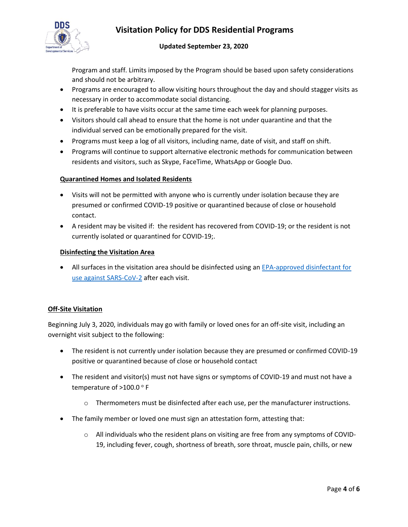

### **Updated September 23, 2020**

Program and staff. Limits imposed by the Program should be based upon safety considerations and should not be arbitrary.

- Programs are encouraged to allow visiting hours throughout the day and should stagger visits as necessary in order to accommodate social distancing.
- It is preferable to have visits occur at the same time each week for planning purposes.
- Visitors should call ahead to ensure that the home is not under quarantine and that the individual served can be emotionally prepared for the visit.
- Programs must keep a log of all visitors, including name, date of visit, and staff on shift.
- Programs will continue to support alternative electronic methods for communication between residents and visitors, such as Skype, FaceTime, WhatsApp or Google Duo.

### **Quarantined Homes and Isolated Residents**

- Visits will not be permitted with anyone who is currently under isolation because they are presumed or confirmed COVID-19 positive or quarantined because of close or household contact.
- A resident may be visited if: the resident has recovered from COVID-19; or the resident is not currently isolated or quarantined for COVID-19;.

#### **Disinfecting the Visitation Area**

• All surfaces in the visitation area should be disinfected using an [EPA-approved disinfectant for](https://www.epa.gov/pesticide-registration/list-n-disinfectants-use-against-sars-cov-2)  [use against SARS-CoV-2](https://www.epa.gov/pesticide-registration/list-n-disinfectants-use-against-sars-cov-2) after each visit.

## **Off-Site Visitation**

Beginning July 3, 2020, individuals may go with family or loved ones for an off-site visit, including an overnight visit subject to the following:

- The resident is not currently under isolation because they are presumed or confirmed COVID-19 positive or quarantined because of close or household contact
- The resident and visitor(s) must not have signs or symptoms of COVID-19 and must not have a temperature of >100.0 °F
	- $\circ$  Thermometers must be disinfected after each use, per the manufacturer instructions.
- The family member or loved one must sign an attestation form, attesting that:
	- $\circ$  All individuals who the resident plans on visiting are free from any symptoms of COVID-19, including fever, cough, shortness of breath, sore throat, muscle pain, chills, or new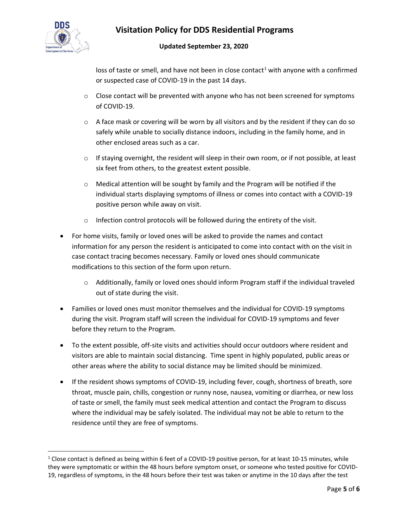

## **Updated September 23, 2020**

loss of taste or smell, and have not been in close contact<sup>1</sup> with anyone with a confirmed or suspected case of COVID-19 in the past 14 days.

- $\circ$  Close contact will be prevented with anyone who has not been screened for symptoms of COVID-19.
- o A face mask or covering will be worn by all visitors and by the resident if they can do so safely while unable to socially distance indoors, including in the family home, and in other enclosed areas such as a car.
- $\circ$  If staying overnight, the resident will sleep in their own room, or if not possible, at least six feet from others, to the greatest extent possible.
- $\circ$  Medical attention will be sought by family and the Program will be notified if the individual starts displaying symptoms of illness or comes into contact with a COVID-19 positive person while away on visit.
- o Infection control protocols will be followed during the entirety of the visit.
- For home visits, family or loved ones will be asked to provide the names and contact information for any person the resident is anticipated to come into contact with on the visit in case contact tracing becomes necessary. Family or loved ones should communicate modifications to this section of the form upon return.
	- $\circ$  Additionally, family or loved ones should inform Program staff if the individual traveled out of state during the visit.
- Families or loved ones must monitor themselves and the individual for COVID-19 symptoms during the visit. Program staff will screen the individual for COVID-19 symptoms and fever before they return to the Program.
- To the extent possible, off-site visits and activities should occur outdoors where resident and visitors are able to maintain social distancing. Time spent in highly populated, public areas or other areas where the ability to social distance may be limited should be minimized.
- If the resident shows symptoms of COVID-19, including fever, cough, shortness of breath, sore throat, muscle pain, chills, congestion or runny nose, nausea, vomiting or diarrhea, or new loss of taste or smell, the family must seek medical attention and contact the Program to discuss where the individual may be safely isolated. The individual may not be able to return to the residence until they are free of symptoms.

 $1$  Close contact is defined as being within 6 feet of a COVID-19 positive person, for at least 10-15 minutes, while they were symptomatic or within the 48 hours before symptom onset, or someone who tested positive for COVID-19, regardless of symptoms, in the 48 hours before their test was taken or anytime in the 10 days after the test